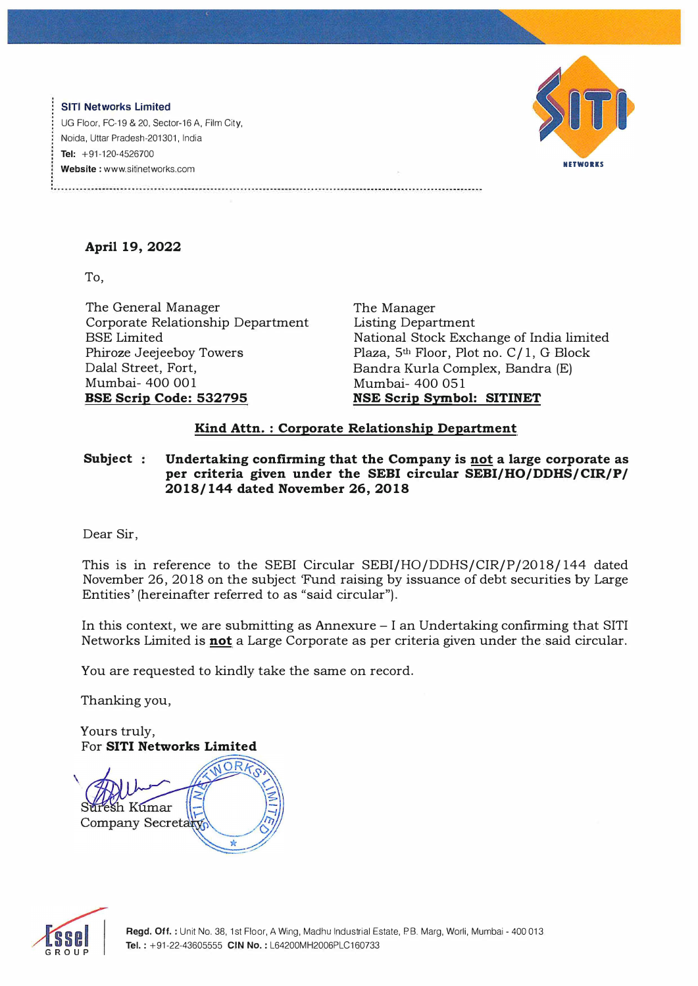**SITI Networks Limited**  UG Floor, FC-19 & 20, Sector-16 A, Film City, Naida, Uttar Pradesh-201301, India **Tel:** +91-120-4526700 **Website** : www.sitinetworks.com



## **April 19, 2022**

To,

The General Manager Corporate Relationship Department BSE Limited Phiroze Jeejeeboy Towers Dalal Street, Fort, Mumbai- 400 001 **BSE Scrip Code: 532795** 

The Manager Listing Department National Stock Exchange of India limited Plaza, 5<sup>th</sup> Floor, Plot no. C/1, G Block Bandra Kurla Complex, Bandra (E) Mumbai- 400 051 **NSE Scrip Symbol: SITINET** 

## **Kind Attn. : Corporate Relationship Department**

**Subject Undertaking confirming that the Company is not a large corporate as per criteria given under the SEBI circular SEBI/HO/DDHS/CIR/P/ 2018/ 144 dated November 26, 2018** 

Dear Sir,

This is in reference to the SEBI Circular SEBI/HO/DDHS/CIR/P/2018/ 144 dated November 26, 2018 on the subject 'Fund raising by issuance of debt securities by Large Entities' (hereinafter referred to as "said circular").

In this context, we are submitting as Annexure - I an Undertaking confirming that SITI Networks Limited is **not** a Large Corporate as per criteria given under the.said circular.

You are requested to kindly take the same on record.

Thanking you,

Yours truly, For **SITI Networks Limited**  h Kumar Company Secretar